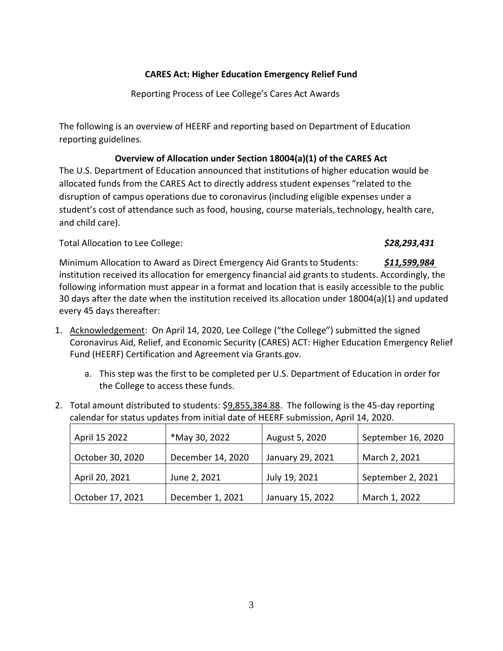## **CARES Act: Higher Education Emergency Relief Fund**

Reporting Process of Lee College's Cares Act Awards

The following is an overview of HEERF and reporting based on Department of Education reporting guidelines.

## **Overview of Allocation under Section 18004(a)(1) of the CARES Act**

The U.S. Department of Education announced that institutions of higher education would be allocated funds from the CARES Act to directly address student expenses "related to the disruption of campus operations due to coronavirus (including eligible expenses under a student's cost of attendance such as food, housing, course materials, technology, health care, and child care).

Total Allocation to Lee College: *\$28,293,431* **\$28,293,431** 

Minimum Allocation to Award as Direct Emergency Aid Grants to Students: *\$11,599,984*  institution received its allocation for emergency financial aid grants to students. Accordingly, the following information must appear in a format and location that is easily accessible to the public 30 days after the date when the institution received its allocation under 18004(a)(1) and updated every 45 days thereafter:

- 1. Acknowledgement: On April 14, 2020, Lee College ("the College") submitted the signed Coronavirus Aid, Relief, and Economic Security (CARES) ACT: Higher Education Emergency Relief Fund (HEERF) Certification and Agreement via [Grants.gov.](https://Grants.gov)
	- a. This step was the first to be completed per U.S. Department of Education in order for the College to access these funds.
- 2. Total amount distributed to students: \$9,855,384.88. The following is the 45-day reporting calendar for status updates from initial date of HEERF submission, April 14, 2020.

| April 15 2022    | *May 30, 2022     | August 5, 2020   | September 16, 2020 |
|------------------|-------------------|------------------|--------------------|
|                  |                   |                  |                    |
| October 30, 2020 | December 14, 2020 | January 29, 2021 | March 2, 2021      |
|                  |                   |                  |                    |
| April 20, 2021   | June 2, 2021      | July 19, 2021    | September 2, 2021  |
|                  |                   |                  |                    |
| October 17, 2021 | December 1, 2021  | January 15, 2022 | March 1, 2022      |